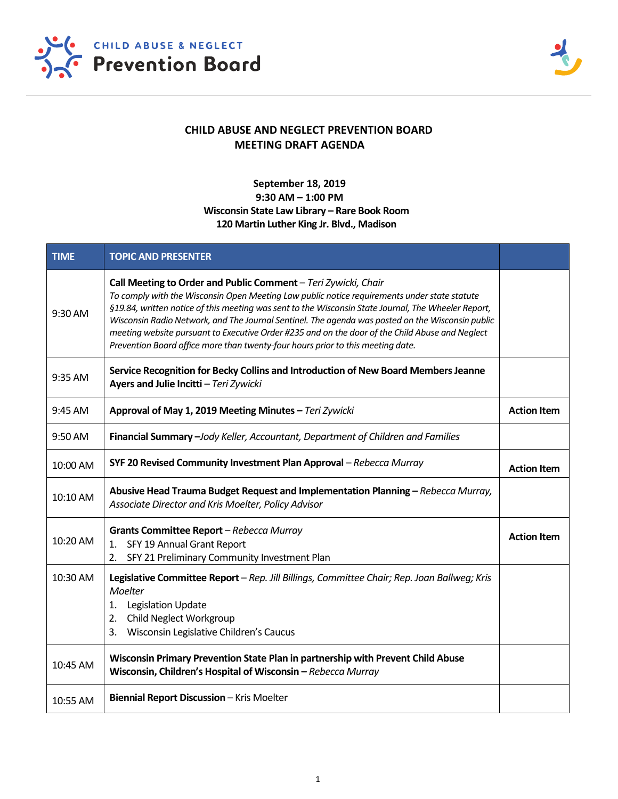



## **CHILD ABUSE AND NEGLECT PREVENTION BOARD MEETING DRAFT AGENDA**

## **September 18, 2019**

## **9:30 AM – 1:00 PM Wisconsin State Law Library – Rare Book Room 120 Martin Luther King Jr. Blvd., Madison**

| <b>TIME</b> | <b>TOPIC AND PRESENTER</b>                                                                                                                                                                                                                                                                                                                                                                                                                                                                                                                                      |                    |
|-------------|-----------------------------------------------------------------------------------------------------------------------------------------------------------------------------------------------------------------------------------------------------------------------------------------------------------------------------------------------------------------------------------------------------------------------------------------------------------------------------------------------------------------------------------------------------------------|--------------------|
| $9:30$ AM   | Call Meeting to Order and Public Comment - Teri Zywicki, Chair<br>To comply with the Wisconsin Open Meeting Law public notice requirements under state statute<br>§19.84, written notice of this meeting was sent to the Wisconsin State Journal, The Wheeler Report,<br>Wisconsin Radio Network, and The Journal Sentinel. The agenda was posted on the Wisconsin public<br>meeting website pursuant to Executive Order #235 and on the door of the Child Abuse and Neglect<br>Prevention Board office more than twenty-four hours prior to this meeting date. |                    |
| 9:35 AM     | Service Recognition for Becky Collins and Introduction of New Board Members Jeanne<br>Ayers and Julie Incitti - Teri Zywicki                                                                                                                                                                                                                                                                                                                                                                                                                                    |                    |
| 9:45 AM     | Approval of May 1, 2019 Meeting Minutes - Teri Zywicki                                                                                                                                                                                                                                                                                                                                                                                                                                                                                                          | <b>Action Item</b> |
| 9:50 AM     | Financial Summary -Jody Keller, Accountant, Department of Children and Families                                                                                                                                                                                                                                                                                                                                                                                                                                                                                 |                    |
| 10:00 AM    | SYF 20 Revised Community Investment Plan Approval - Rebecca Murray                                                                                                                                                                                                                                                                                                                                                                                                                                                                                              | <b>Action Item</b> |
| 10:10 AM    | Abusive Head Trauma Budget Request and Implementation Planning - Rebecca Murray,<br>Associate Director and Kris Moelter, Policy Advisor                                                                                                                                                                                                                                                                                                                                                                                                                         |                    |
| 10:20 AM    | Grants Committee Report - Rebecca Murray<br>1. SFY 19 Annual Grant Report<br>SFY 21 Preliminary Community Investment Plan<br>2.                                                                                                                                                                                                                                                                                                                                                                                                                                 | <b>Action Item</b> |
| 10:30 AM    | Legislative Committee Report - Rep. Jill Billings, Committee Chair; Rep. Joan Ballweg; Kris<br><b>Moelter</b><br>1. Legislation Update<br>2. Child Neglect Workgroup<br>Wisconsin Legislative Children's Caucus<br>3.                                                                                                                                                                                                                                                                                                                                           |                    |
| 10:45 AM    | Wisconsin Primary Prevention State Plan in partnership with Prevent Child Abuse<br>Wisconsin, Children's Hospital of Wisconsin - Rebecca Murray                                                                                                                                                                                                                                                                                                                                                                                                                 |                    |
| 10:55 AM    | Biennial Report Discussion - Kris Moelter                                                                                                                                                                                                                                                                                                                                                                                                                                                                                                                       |                    |